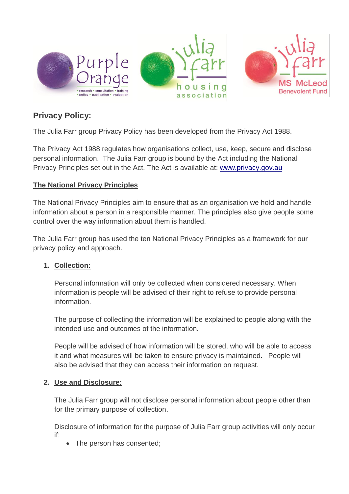

# **Privacy Policy:**

The Julia Farr group Privacy Policy has been developed from the Privacy Act 1988.

The Privacy Act 1988 regulates how organisations collect, use, keep, secure and disclose personal information. The Julia Farr group is bound by the Act including the National Privacy Principles set out in the Act. The Act is available at: [www.privacy.gov.au](http://www.privacy.gov.au/)

### **The National Privacy Principles**

The National Privacy Principles aim to ensure that as an organisation we hold and handle information about a person in a responsible manner. The principles also give people some control over the way information about them is handled.

The Julia Farr group has used the ten National Privacy Principles as a framework for our privacy policy and approach.

#### **1. Collection:**

Personal information will only be collected when considered necessary. When information is people will be advised of their right to refuse to provide personal information.

The purpose of collecting the information will be explained to people along with the intended use and outcomes of the information.

People will be advised of how information will be stored, who will be able to access it and what measures will be taken to ensure privacy is maintained. People will also be advised that they can access their information on request.

#### **2. Use and Disclosure:**

The Julia Farr group will not disclose personal information about people other than for the primary purpose of collection.

Disclosure of information for the purpose of Julia Farr group activities will only occur if:

The person has consented;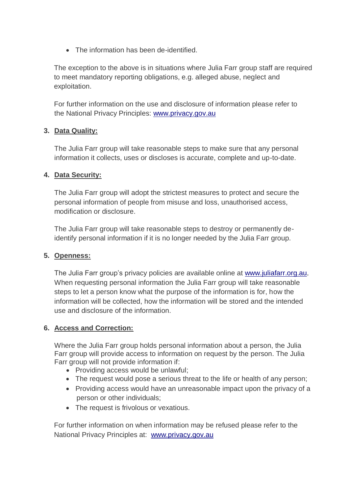• The information has been de-identified.

The exception to the above is in situations where Julia Farr group staff are required to meet mandatory reporting obligations, e.g. alleged abuse, neglect and exploitation.

For further information on the use and disclosure of information please refer to the National Privacy Principles: [www.privacy.gov.au](http://www.privacy.gov.au/)

### **3. Data Quality:**

The Julia Farr group will take reasonable steps to make sure that any personal information it collects, uses or discloses is accurate, complete and up-to-date.

#### **4. Data Security:**

The Julia Farr group will adopt the strictest measures to protect and secure the personal information of people from misuse and loss, unauthorised access, modification or disclosure.

The Julia Farr group will take reasonable steps to destroy or permanently deidentify personal information if it is no longer needed by the Julia Farr group.

#### **5. Openness:**

The Julia Farr group's privacy policies are available online at [www.juliafarr.org.au](http://www.juliafarr.org.au/). When requesting personal information the Julia Farr group will take reasonable steps to let a person know what the purpose of the information is for, how the information will be collected, how the information will be stored and the intended use and disclosure of the information.

## **6. Access and Correction:**

Where the Julia Farr group holds personal information about a person, the Julia Farr group will provide access to information on request by the person. The Julia Farr group will not provide information if:

- Providing access would be unlawful:
- The request would pose a serious threat to the life or health of any person;
- Providing access would have an unreasonable impact upon the privacy of a person or other individuals;
- The request is frivolous or vexatious.

For further information on when information may be refused please refer to the National Privacy Principles at: [www.privacy.gov.au](http://www.privacy.gov.au/)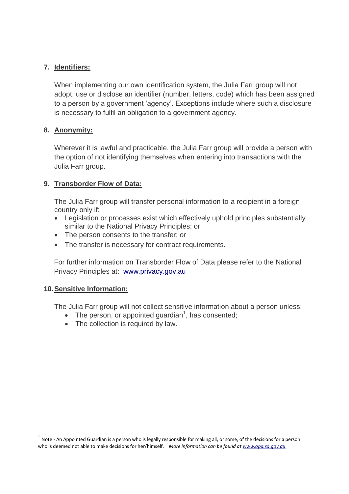#### **7. Identifiers:**

When implementing our own identification system, the Julia Farr group will not adopt, use or disclose an identifier (number, letters, code) which has been assigned to a person by a government 'agency'. Exceptions include where such a disclosure is necessary to fulfil an obligation to a government agency.

#### **8. Anonymity:**

Wherever it is lawful and practicable, the Julia Farr group will provide a person with the option of not identifying themselves when entering into transactions with the Julia Farr group.

#### **9. Transborder Flow of Data:**

The Julia Farr group will transfer personal information to a recipient in a foreign country only if:

- Legislation or processes exist which effectively uphold principles substantially similar to the National Privacy Principles; or
- The person consents to the transfer; or
- The transfer is necessary for contract requirements.

For further information on Transborder Flow of Data please refer to the National Privacy Principles at: [www.privacy.gov.au](http://www.privacy.gov.au/)

#### **10.Sensitive Information:**

1

The Julia Farr group will not collect sensitive information about a person unless:

- $\bullet$  The person, or appointed guardian<sup>1</sup>, has consented;
- The collection is required by law.

 $^1$  Note - An Appointed Guardian is a person who is legally responsible for making all, or some, of the decisions for a person who is deemed not able to make decisions for her/himself. *More information can be found a[t www.opa.sa.gov.au](http://www.opa.sa.gov.au/)*